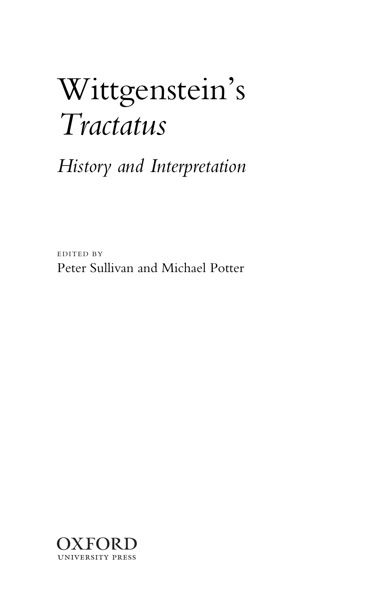# <span id="page-0-0"></span>Wittgenstein' s Tractatus

History and Interpretation

EDITED BY Peter Sullivan and Michael Potter

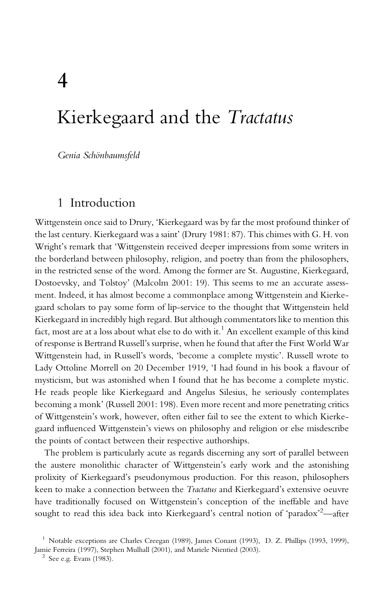## 4

## [Kierkegaard and the](#page-0-0) Tractatus

Genia Schönbaumsfeld

#### 1 Introduction

Wittgenstein once said to Drury, 'Kierkegaard was by far the most profound thinker of the last century. Kierkegaard was a saint' (Drury 1981: 87). This chimes with G. H. von Wright's remark that 'Wittgenstein received deeper impressions from some writers in the borderland between philosophy, religion, and poetry than from the philosophers, in the restricted sense of the word. Among the former are St. Augustine, Kierkegaard, Dostoevsky, and Tolstoy' (Malcolm 2001: 19). This seems to me an accurate assessment. Indeed, it has almost become a commonplace among Wittgenstein and Kierkegaard scholars to pay some form of lip-service to the thought that Wittgenstein held Kierkegaard in incredibly high regard. But although commentators like to mention this fact, most are at a loss about what else to do with it.<sup>1</sup> An excellent example of this kind of response is Bertrand Russell's surprise, when he found that after the First World War Wittgenstein had, in Russell's words, 'become a complete mystic'. Russell wrote to Lady Ottoline Morrell on 20 December 1919, 'I had found in his book a flavour of mysticism, but was astonished when I found that he has become a complete mystic. He reads people like Kierkegaard and Angelus Silesius, he seriously contemplates becoming a monk' (Russell 2001: 198). Even more recent and more penetrating critics of Wittgenstein's work, however, often either fail to see the extent to which Kierkegaard influenced Wittgenstein's views on philosophy and religion or else misdescribe the points of contact between their respective authorships.

The problem is particularly acute as regards discerning any sort of parallel between the austere monolithic character of Wittgenstein's early work and the astonishing prolixity of Kierkegaard's pseudonymous production. For this reason, philosophers keen to make a connection between the Tractatus and Kierkegaard's extensive oeuvre have traditionally focused on Wittgenstein's conception of the ineffable and have sought to read this idea back into Kierkegaard's central notion of 'paradox' $^2$ —after

<sup>1</sup> Notable exceptions are Charles Creegan (1989), James Conant (1993), D. Z. Phillips (1993, 1999), Jamie Ferreira (1997), Stephen Mulhall (2001), and Mariele Nientied (2003). <sup>2</sup> See e.g. Evans (1983).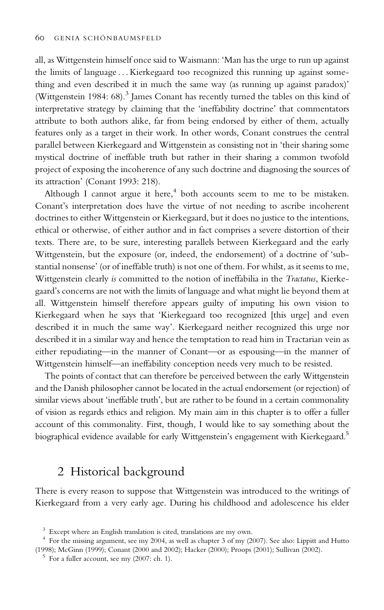all, as Wittgenstein himself once said to Waismann: 'Man has the urge to run up against the limits of language . . . Kierkegaard too recognized this running up against something and even described it in much the same way (as running up against paradox)' (Wittgenstein 1984: 68).<sup>3</sup> James Conant has recently turned the tables on this kind of interpretative strategy by claiming that the 'ineffability doctrine' that commentators attribute to both authors alike, far from being endorsed by either of them, actually features only as a target in their work. In other words, Conant construes the central parallel between Kierkegaard and Wittgenstein as consisting not in 'their sharing some mystical doctrine of ineffable truth but rather in their sharing a common twofold project of exposing the incoherence of any such doctrine and diagnosing the sources of its attraction' (Conant 1993: 218).

Although I cannot argue it here,<sup>4</sup> both accounts seem to me to be mistaken. Conant's interpretation does have the virtue of not needing to ascribe incoherent doctrines to either Wittgenstein or Kierkegaard, but it does no justice to the intentions, ethical or otherwise, of either author and in fact comprises a severe distortion of their texts. There are, to be sure, interesting parallels between Kierkegaard and the early Wittgenstein, but the exposure (or, indeed, the endorsement) of a doctrine of 'substantial nonsense' (or of ineffable truth) is not one of them. For whilst, as it seems to me, Wittgenstein clearly is committed to the notion of ineffabilia in the *Tractatus*, Kierkegaard's concerns are not with the limits of language and what might lie beyond them at all. Wittgenstein himself therefore appears guilty of imputing his own vision to Kierkegaard when he says that 'Kierkegaard too recognized [this urge] and even described it in much the same way'. Kierkegaard neither recognized this urge nor described it in a similar way and hence the temptation to read him in Tractarian vein as either repudiating—in the manner of Conant—or as espousing—in the manner of Wittgenstein himself—an ineffability conception needs very much to be resisted.

The points of contact that can therefore be perceived between the early Wittgenstein and the Danish philosopher cannot be located in the actual endorsement (or rejection) of similar views about 'ineffable truth', but are rather to be found in a certain commonality of vision as regards ethics and religion. My main aim in this chapter is to offer a fuller account of this commonality. First, though, I would like to say something about the biographical evidence available for early Wittgenstein's engagement with Kierkegaard.<sup>5</sup>

#### 2 Historical background

There is every reason to suppose that Wittgenstein was introduced to the writings of Kierkegaard from a very early age. During his childhood and adolescence his elder

 $3$  Except where an English translation is cited, translations are my own.<br> $4$  For the missing argument, see my 2004, as well as chapter 3 of my (2007). See also: Lippitt and Hutto (1998); McGinn (1999); Conant (2000 and 2002); Hacker (2000); Proops (2001); Sullivan (2002). <sup>5</sup> For a fuller account, see my (2007: ch. 1).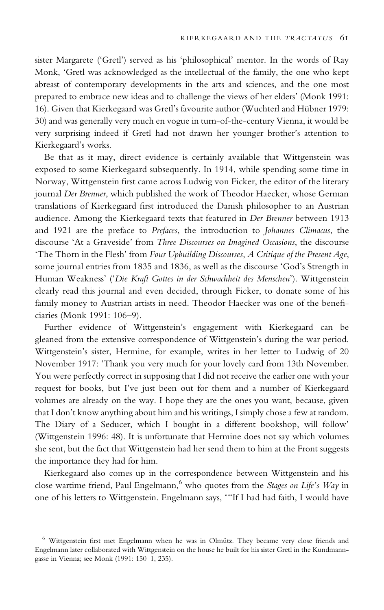sister Margarete ('Gretl') served as his 'philosophical' mentor. In the words of Ray Monk, 'Gretl was acknowledged as the intellectual of the family, the one who kept abreast of contemporary developments in the arts and sciences, and the one most prepared to embrace new ideas and to challenge the views of her elders' (Monk 1991: 16). Given that Kierkegaard was Gretl's favourite author (Wuchterl and Hübner 1979: 30) and was generally very much en vogue in turn-of-the-century Vienna, it would be very surprising indeed if Gretl had not drawn her younger brother's attention to Kierkegaard's works.

Be that as it may, direct evidence is certainly available that Wittgenstein was exposed to some Kierkegaard subsequently. In 1914, while spending some time in Norway, Wittgenstein first came across Ludwig von Ficker, the editor of the literary journal Der Brenner, which published the work of Theodor Haecker, whose German translations of Kierkegaard first introduced the Danish philosopher to an Austrian audience. Among the Kierkegaard texts that featured in Der Brenner between 1913 and 1921 are the preface to Prefaces, the introduction to Johannes Climacus, the discourse 'At a Graveside' from Three Discourses on Imagined Occasions, the discourse 'The Thorn in the Flesh' from Four Upbuilding Discourses, A Critique of the Present Age, some journal entries from 1835 and 1836, as well as the discourse 'God's Strength in Human Weakness' ('Die Kraft Gottes in der Schwachheit des Menschen'). Wittgenstein clearly read this journal and even decided, through Ficker, to donate some of his family money to Austrian artists in need. Theodor Haecker was one of the beneficiaries (Monk 1991: 106–9).

Further evidence of Wittgenstein's engagement with Kierkegaard can be gleaned from the extensive correspondence of Wittgenstein's during the war period. Wittgenstein's sister, Hermine, for example, writes in her letter to Ludwig of 20 November 1917: 'Thank you very much for your lovely card from 13th November. You were perfectly correct in supposing that I did not receive the earlier one with your request for books, but I've just been out for them and a number of Kierkegaard volumes are already on the way. I hope they are the ones you want, because, given that I don't know anything about him and his writings, I simply chose a few at random. The Diary of a Seducer, which I bought in a different bookshop, will follow' (Wittgenstein 1996: 48). It is unfortunate that Hermine does not say which volumes she sent, but the fact that Wittgenstein had her send them to him at the Front suggests the importance they had for him.

Kierkegaard also comes up in the correspondence between Wittgenstein and his close wartime friend, Paul Engelmann,<sup>6</sup> who quotes from the Stages on Life's Way in one of his letters to Wittgenstein. Engelmann says, '"If I had had faith, I would have

<sup>6</sup> Wittgenstein first met Engelmann when he was in Olmütz. They became very close friends and Engelmann later collaborated with Wittgenstein on the house he built for his sister Gretl in the Kundmanngasse in Vienna; see Monk (1991: 150–1, 235).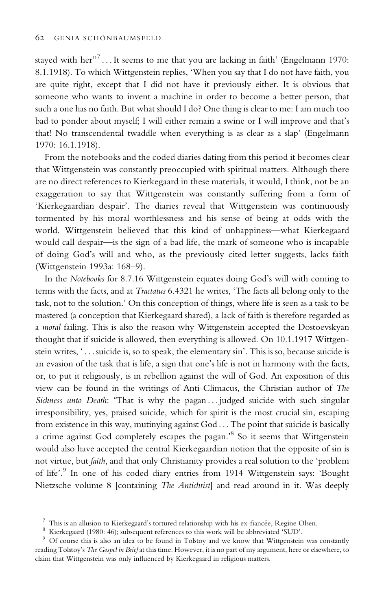stayed with her"<sup>7</sup>...It seems to me that you are lacking in faith' (Engelmann 1970: 8.1.1918). To which Wittgenstein replies, 'When you say that I do not have faith, you are quite right, except that I did not have it previously either. It is obvious that someone who wants to invent a machine in order to become a better person, that such a one has no faith. But what should I do? One thing is clear to me: I am much too bad to ponder about myself; I will either remain a swine or I will improve and that's that! No transcendental twaddle when everything is as clear as a slap' (Engelmann 1970: 16.1.1918).

From the notebooks and the coded diaries dating from this period it becomes clear that Wittgenstein was constantly preoccupied with spiritual matters. Although there are no direct references to Kierkegaard in these materials, it would, I think, not be an exaggeration to say that Wittgenstein was constantly suffering from a form of 'Kierkegaardian despair'. The diaries reveal that Wittgenstein was continuously tormented by his moral worthlessness and his sense of being at odds with the world. Wittgenstein believed that this kind of unhappiness—what Kierkegaard would call despair—is the sign of a bad life, the mark of someone who is incapable of doing God's will and who, as the previously cited letter suggests, lacks faith (Wittgenstein 1993a: 168–9).

In the Notebooks for 8.7.16 Wittgenstein equates doing God's will with coming to terms with the facts, and at Tractatus 6.4321 he writes, 'The facts all belong only to the task, not to the solution.' On this conception of things, where life is seen as a task to be mastered (a conception that Kierkegaard shared), a lack of faith is therefore regarded as a moral failing. This is also the reason why Wittgenstein accepted the Dostoevskyan thought that if suicide is allowed, then everything is allowed. On 10.1.1917 Wittgenstein writes, ' . . . suicide is, so to speak, the elementary sin'. This is so, because suicide is an evasion of the task that is life, a sign that one's life is not in harmony with the facts, or, to put it religiously, is in rebellion against the will of God. An exposition of this view can be found in the writings of Anti-Climacus, the Christian author of The Sickness unto Death: 'That is why the pagan ... judged suicide with such singular irresponsibility, yes, praised suicide, which for spirit is the most crucial sin, escaping from existence in this way, mutinying against God . . . The point that suicide is basically a crime against God completely escapes the pagan.<sup>8</sup> So it seems that Wittgenstein would also have accepted the central Kierkegaardian notion that the opposite of sin is not virtue, but faith, and that only Christianity provides a real solution to the 'problem of life'. <sup>9</sup> In one of his coded diary entries from 1914 Wittgenstein says: 'Bought Nietzsche volume 8 [containing The Antichrist] and read around in it. Was deeply

 $^7$  This is an allusion to Kierkegaard's tortured relationship with his ex-fiancée, Regine Olsen.<br> $^8$  Kierkegaard (1980: 46); subsequent references to this work will be abbreviated 'SUD'.<br> $^9$  Of course this is also an reading Tolstoy's The Gospel in Brief at this time. However, it is no part of my argument, here or elsewhere, to claim that Wittgenstein was only influenced by Kierkegaard in religious matters.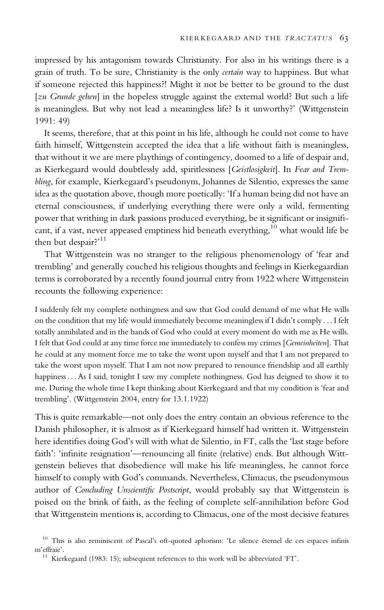impressed by his antagonism towards Christianity. For also in his writings there is a grain of truth. To be sure, Christianity is the only certain way to happiness. But what if someone rejected this happiness?! Might it not be better to be ground to the dust [zu Grunde gehen] in the hopeless struggle against the external world? But such a life is meaningless. But why not lead a meaningless life? Is it unworthy?' (Wittgenstein 1991: 49)

It seems, therefore, that at this point in his life, although he could not come to have faith himself, Wittgenstein accepted the idea that a life without faith is meaningless, that without it we are mere playthings of contingency, doomed to a life of despair and, as Kierkegaard would doubtlessly add, spiritlessness [Geistlosigkeit]. In Fear and Trembling, for example, Kierkegaard's pseudonym, Johannes de Silentio, expresses the same idea as the quotation above, though more poetically: 'If a human being did not have an eternal consciousness, if underlying everything there were only a wild, fermenting power that writhing in dark passions produced everything, be it significant or insignificant, if a vast, never appeased emptiness hid beneath everything,<sup>10</sup> what would life be then but despair?'<sup>11</sup>

That Wittgenstein was no stranger to the religious phenomenology of 'fear and trembling' and generally couched his religious thoughts and feelings in Kierkegaardian terms is corroborated by a recently found journal entry from 1922 where Wittgenstein recounts the following experience:

I suddenly felt my complete nothingness and saw that God could demand of me what He wills on the condition that my life would immediately become meaningless if I didn't comply ...I felt totally annihilated and in the hands of God who could at every moment do with me as He wills. I felt that God could at any time force me immediately to confess my crimes [Gemeinheiten]. That he could at any moment force me to take the worst upon myself and that I am not prepared to take the worst upon myself. That I am not now prepared to renounce friendship and all earthly happiness . . . As I said, tonight I saw my complete nothingness. God has deigned to show it to me. During the whole time I kept thinking about Kierkegaard and that my condition is 'fear and trembling'. (Wittgenstein 2004, entry for 13.1.1922)

This is quite remarkable—not only does the entry contain an obvious reference to the Danish philosopher, it is almost as if Kierkegaard himself had written it. Wittgenstein here identifies doing God's will with what de Silentio, in FT, calls the 'last stage before faith': 'infinite resignation'—renouncing all finite (relative) ends. But although Wittgenstein believes that disobedience will make his life meaningless, he cannot force himself to comply with God's commands. Nevertheless, Climacus, the pseudonymous author of Concluding Unscientific Postscript, would probably say that Wittgenstein is poised on the brink of faith, as the feeling of complete self-annihilation before God that Wittgenstein mentions is, according to Climacus, one of the most decisive features

<sup>&</sup>lt;sup>10</sup> This is also reminiscent of Pascal's oft-quoted aphorism: 'Le silence éternel de ces espaces infinis m'effraie'.<br> $11$  Kierkegaard (1983: 15); subsequent references to this work will be abbreviated 'FT'.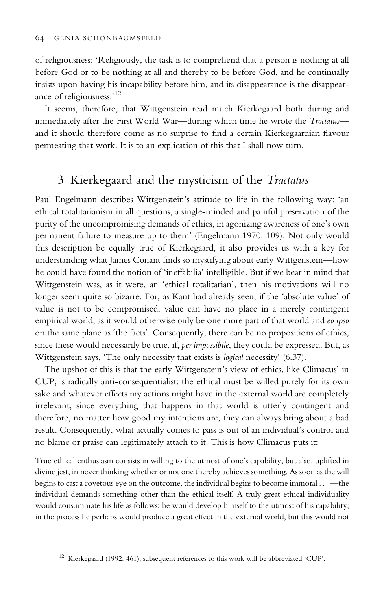of religiousness: 'Religiously, the task is to comprehend that a person is nothing at all before God or to be nothing at all and thereby to be before God, and he continually insists upon having his incapability before him, and its disappearance is the disappearance of religiousness.' 12

It seems, therefore, that Wittgenstein read much Kierkegaard both during and immediately after the First World War—during which time he wrote the Tractatus and it should therefore come as no surprise to find a certain Kierkegaardian flavour permeating that work. It is to an explication of this that I shall now turn.

#### 3 Kierkegaard and the mysticism of the Tractatus

Paul Engelmann describes Wittgenstein's attitude to life in the following way: 'an ethical totalitarianism in all questions, a single-minded and painful preservation of the purity of the uncompromising demands of ethics, in agonizing awareness of one's own permanent failure to measure up to them' (Engelmann 1970: 109). Not only would this description be equally true of Kierkegaard, it also provides us with a key for understanding what James Conant finds so mystifying about early Wittgenstein—how he could have found the notion of 'ineffabilia' intelligible. But if we bear in mind that Wittgenstein was, as it were, an 'ethical totalitarian', then his motivations will no longer seem quite so bizarre. For, as Kant had already seen, if the 'absolute value' of value is not to be compromised, value can have no place in a merely contingent empirical world, as it would otherwise only be one more part of that world and eo ipso on the same plane as 'the facts'. Consequently, there can be no propositions of ethics, since these would necessarily be true, if, per impossibile, they could be expressed. But, as Wittgenstein says, 'The only necessity that exists is logical necessity' (6.37).

The upshot of this is that the early Wittgenstein's view of ethics, like Climacus' in CUP, is radically anti-consequentialist: the ethical must be willed purely for its own sake and whatever effects my actions might have in the external world are completely irrelevant, since everything that happens in that world is utterly contingent and therefore, no matter how good my intentions are, they can always bring about a bad result. Consequently, what actually comes to pass is out of an individual's control and no blame or praise can legitimately attach to it. This is how Climacus puts it:

True ethical enthusiasm consists in willing to the utmost of one's capability, but also, uplifted in divine jest, in never thinking whether or not one thereby achieves something. As soon as the will begins to cast a covetous eye on the outcome, the individual begins to become immoral . . . —the individual demands something other than the ethical itself. A truly great ethical individuality would consummate his life as follows: he would develop himself to the utmost of his capability; in the process he perhaps would produce a great effect in the external world, but this would not

<sup>&</sup>lt;sup>12</sup> Kierkegaard (1992: 461); subsequent references to this work will be abbreviated 'CUP'.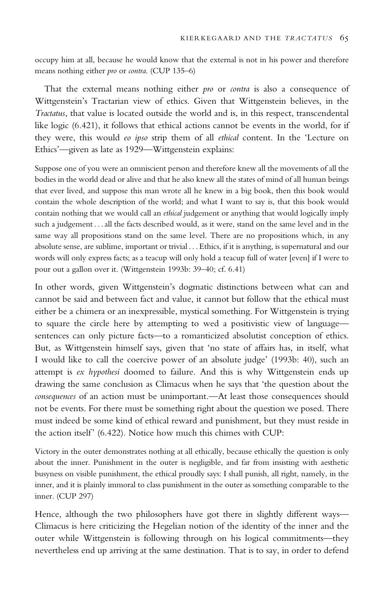occupy him at all, because he would know that the external is not in his power and therefore means nothing either pro or contra. (CUP 135–6)

That the external means nothing either pro or contra is also a consequence of Wittgenstein's Tractarian view of ethics. Given that Wittgenstein believes, in the Tractatus, that value is located outside the world and is, in this respect, transcendental like logic (6.421), it follows that ethical actions cannot be events in the world, for if they were, this would eo ipso strip them of all ethical content. In the 'Lecture on Ethics'—given as late as 1929—Wittgenstein explains:

Suppose one of you were an omniscient person and therefore knew all the movements of all the bodies in the world dead or alive and that he also knew all the states of mind of all human beings that ever lived, and suppose this man wrote all he knew in a big book, then this book would contain the whole description of the world; and what I want to say is, that this book would contain nothing that we would call an ethical judgement or anything that would logically imply such a judgement . . . all the facts described would, as it were, stand on the same level and in the same way all propositions stand on the same level. There are no propositions which, in any absolute sense, are sublime, important or trivial . . . Ethics, if it is anything, is supernatural and our words will only express facts; as a teacup will only hold a teacup full of water [even] if I were to pour out a gallon over it. (Wittgenstein 1993b: 39–40; cf. 6.41)

In other words, given Wittgenstein's dogmatic distinctions between what can and cannot be said and between fact and value, it cannot but follow that the ethical must either be a chimera or an inexpressible, mystical something. For Wittgenstein is trying to square the circle here by attempting to wed a positivistic view of language sentences can only picture facts—to a romanticized absolutist conception of ethics. But, as Wittgenstein himself says, given that 'no state of affairs has, in itself, what I would like to call the coercive power of an absolute judge' (1993b: 40), such an attempt is ex hypothesi doomed to failure. And this is why Wittgenstein ends up drawing the same conclusion as Climacus when he says that 'the question about the consequences of an action must be unimportant.—At least those consequences should not be events. For there must be something right about the question we posed. There must indeed be some kind of ethical reward and punishment, but they must reside in the action itself' (6.422). Notice how much this chimes with CUP:

Victory in the outer demonstrates nothing at all ethically, because ethically the question is only about the inner. Punishment in the outer is negligible, and far from insisting with aesthetic busyness on visible punishment, the ethical proudly says: I shall punish, all right, namely, in the inner, and it is plainly immoral to class punishment in the outer as something comparable to the inner. (CUP 297)

Hence, although the two philosophers have got there in slightly different ways— Climacus is here criticizing the Hegelian notion of the identity of the inner and the outer while Wittgenstein is following through on his logical commitments—they nevertheless end up arriving at the same destination. That is to say, in order to defend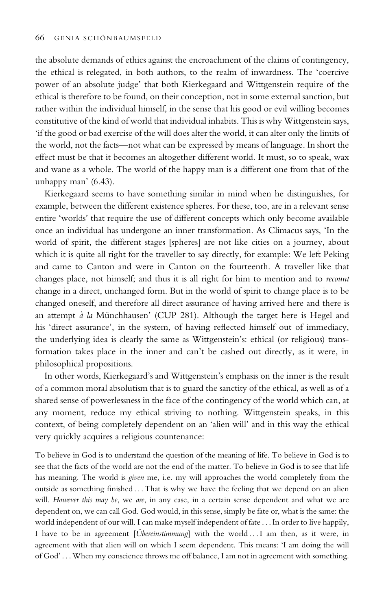the absolute demands of ethics against the encroachment of the claims of contingency, the ethical is relegated, in both authors, to the realm of inwardness. The 'coercive power of an absolute judge' that both Kierkegaard and Wittgenstein require of the ethical is therefore to be found, on their conception, not in some external sanction, but rather within the individual himself, in the sense that his good or evil willing becomes constitutive of the kind of world that individual inhabits. This is why Wittgenstein says, 'if the good or bad exercise of the will does alter the world, it can alter only the limits of the world, not the facts—not what can be expressed by means of language. In short the effect must be that it becomes an altogether different world. It must, so to speak, wax and wane as a whole. The world of the happy man is a different one from that of the unhappy man' (6.43).

Kierkegaard seems to have something similar in mind when he distinguishes, for example, between the different existence spheres. For these, too, are in a relevant sense entire 'worlds' that require the use of different concepts which only become available once an individual has undergone an inner transformation. As Climacus says, 'In the world of spirit, the different stages [spheres] are not like cities on a journey, about which it is quite all right for the traveller to say directly, for example: We left Peking and came to Canton and were in Canton on the fourteenth. A traveller like that changes place, not himself; and thus it is all right for him to mention and to recount change in a direct, unchanged form. But in the world of spirit to change place is to be changed oneself, and therefore all direct assurance of having arrived here and there is an attempt  $\hat{a}$  la Münchhausen' (CUP 281). Although the target here is Hegel and his 'direct assurance', in the system, of having reflected himself out of immediacy, the underlying idea is clearly the same as Wittgenstein's: ethical (or religious) transformation takes place in the inner and can't be cashed out directly, as it were, in philosophical propositions.

In other words, Kierkegaard's and Wittgenstein's emphasis on the inner is the result of a common moral absolutism that is to guard the sanctity of the ethical, as well as of a shared sense of powerlessness in the face of the contingency of the world which can, at any moment, reduce my ethical striving to nothing. Wittgenstein speaks, in this context, of being completely dependent on an 'alien will' and in this way the ethical very quickly acquires a religious countenance:

To believe in God is to understand the question of the meaning of life. To believe in God is to see that the facts of the world are not the end of the matter. To believe in God is to see that life has meaning. The world is *given* me, i.e. my will approaches the world completely from the outside as something finished . . . That is why we have the feeling that we depend on an alien will. However this may be, we are, in any case, in a certain sense dependent and what we are dependent on, we can call God. God would, in this sense, simply be fate or, what is the same: the world independent of our will. I can make myself independent of fate . . . In order to live happily, I have to be in agreement [Übereinstimmung] with the world . . I am then, as it were, in agreement with that alien will on which I seem dependent. This means: 'I am doing the will of God' . . . When my conscience throws me off balance, I am not in agreement with something.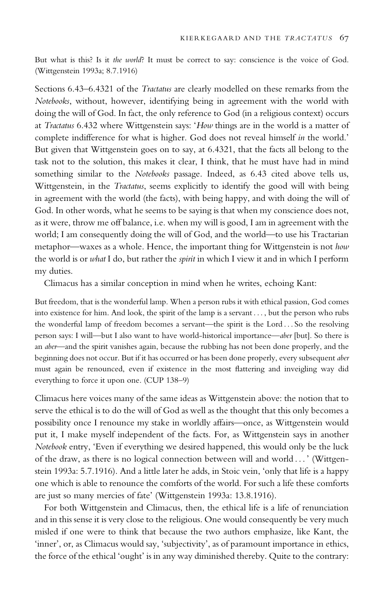But what is this? Is it the world? It must be correct to say: conscience is the voice of God. (Wittgenstein 1993a; 8.7.1916)

Sections 6.43–6.4321 of the Tractatus are clearly modelled on these remarks from the Notebooks, without, however, identifying being in agreement with the world with doing the will of God. In fact, the only reference to God (in a religious context) occurs at Tractatus 6.432 where Wittgenstein says: 'How things are in the world is a matter of complete indifference for what is higher. God does not reveal himself in the world.' But given that Wittgenstein goes on to say, at 6.4321, that the facts all belong to the task not to the solution, this makes it clear, I think, that he must have had in mind something similar to the Notebooks passage. Indeed, as 6.43 cited above tells us, Wittgenstein, in the Tractatus, seems explicitly to identify the good will with being in agreement with the world (the facts), with being happy, and with doing the will of God. In other words, what he seems to be saying is that when my conscience does not, as it were, throw me off balance, i.e. when my will is good, I am in agreement with the world; I am consequently doing the will of God, and the world—to use his Tractarian metaphor—waxes as a whole. Hence, the important thing for Wittgenstein is not how the world is or what I do, but rather the spirit in which I view it and in which I perform my duties.

Climacus has a similar conception in mind when he writes, echoing Kant:

But freedom, that is the wonderful lamp. When a person rubs it with ethical passion, God comes into existence for him. And look, the spirit of the lamp is a servant . . . , but the person who rubs the wonderful lamp of freedom becomes a servant—the spirit is the Lord . . . So the resolving person says: I will—but I also want to have world-historical importance—aber [but]. So there is an aber—and the spirit vanishes again, because the rubbing has not been done properly, and the beginning does not occur. But if it has occurred or has been done properly, every subsequent aber must again be renounced, even if existence in the most flattering and inveigling way did everything to force it upon one. (CUP 138–9)

Climacus here voices many of the same ideas as Wittgenstein above: the notion that to serve the ethical is to do the will of God as well as the thought that this only becomes a possibility once I renounce my stake in worldly affairs—once, as Wittgenstein would put it, I make myself independent of the facts. For, as Wittgenstein says in another Notebook entry, 'Even if everything we desired happened, this would only be the luck of the draw, as there is no logical connection between will and world . . . ' (Wittgenstein 1993a: 5.7.1916). And a little later he adds, in Stoic vein, 'only that life is a happy one which is able to renounce the comforts of the world. For such a life these comforts are just so many mercies of fate' (Wittgenstein 1993a: 13.8.1916).

For both Wittgenstein and Climacus, then, the ethical life is a life of renunciation and in this sense it is very close to the religious. One would consequently be very much misled if one were to think that because the two authors emphasize, like Kant, the 'inner', or, as Climacus would say, 'subjectivity', as of paramount importance in ethics, the force of the ethical 'ought' is in any way diminished thereby. Quite to the contrary: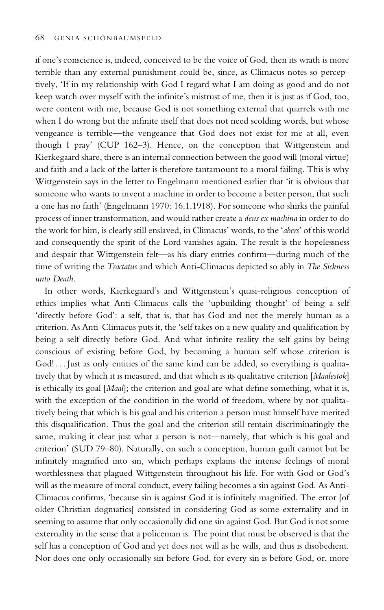if one's conscience is, indeed, conceived to be the voice of God, then its wrath is more terrible than any external punishment could be, since, as Climacus notes so perceptively, 'If in my relationship with God I regard what I am doing as good and do not keep watch over myself with the infinite's mistrust of me, then it is just as if God, too, were content with me, because God is not something external that quarrels with me when I do wrong but the infinite itself that does not need scolding words, but whose vengeance is terrible—the vengeance that God does not exist for me at all, even though I pray' (CUP 162–3). Hence, on the conception that Wittgenstein and Kierkegaard share, there is an internal connection between the good will (moral virtue) and faith and a lack of the latter is therefore tantamount to a moral failing. This is why Wittgenstein says in the letter to Engelmann mentioned earlier that 'it is obvious that someone who wants to invent a machine in order to become a better person, that such a one has no faith' (Engelmann 1970: 16.1.1918). For someone who shirks the painful process of inner transformation, and would rather create a deus ex machina in order to do the work for him, is clearly still enslaved, in Climacus' words, to the 'abers' of this world and consequently the spirit of the Lord vanishes again. The result is the hopelessness and despair that Wittgenstein felt—as his diary entries confirm—during much of the time of writing the Tractatus and which Anti-Climacus depicted so ably in The Sickness unto Death.

In other words, Kierkegaard's and Wittgenstein's quasi-religious conception of ethics implies what Anti-Climacus calls the 'upbuilding thought' of being a self 'directly before God': a self, that is, that has God and not the merely human as a criterion. As Anti-Climacus puts it, the 'self takes on a new quality and qualification by being a self directly before God. And what infinite reality the self gains by being conscious of existing before God, by becoming a human self whose criterion is God! . . . Just as only entities of the same kind can be added, so everything is qualitatively that by which it is measured, and that which is its qualitative criterion [Maalestok] is ethically its goal [Maal]; the criterion and goal are what define something, what it is, with the exception of the condition in the world of freedom, where by not qualitatively being that which is his goal and his criterion a person must himself have merited this disqualification. Thus the goal and the criterion still remain discriminatingly the same, making it clear just what a person is not—namely, that which is his goal and criterion' (SUD 79–80). Naturally, on such a conception, human guilt cannot but be infinitely magnified into sin, which perhaps explains the intense feelings of moral worthlessness that plagued Wittgenstein throughout his life. For with God or God's will as the measure of moral conduct, every failing becomes a sin against God. As Anti-Climacus confirms, 'because sin is against God it is infinitely magnified. The error [of older Christian dogmatics] consisted in considering God as some externality and in seeming to assume that only occasionally did one sin against God. But God is not some externality in the sense that a policeman is. The point that must be observed is that the self has a conception of God and yet does not will as he wills, and thus is disobedient. Nor does one only occasionally sin before God, for every sin is before God, or, more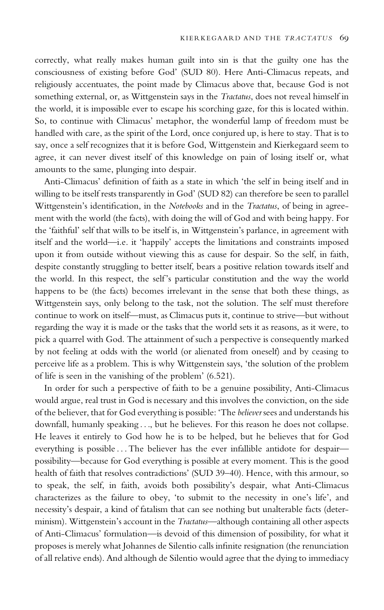correctly, what really makes human guilt into sin is that the guilty one has the consciousness of existing before God' (SUD 80). Here Anti-Climacus repeats, and religiously accentuates, the point made by Climacus above that, because God is not something external, or, as Wittgenstein says in the Tractatus, does not reveal himself in the world, it is impossible ever to escape his scorching gaze, for this is located within. So, to continue with Climacus' metaphor, the wonderful lamp of freedom must be handled with care, as the spirit of the Lord, once conjured up, is here to stay. That is to say, once a self recognizes that it is before God, Wittgenstein and Kierkegaard seem to agree, it can never divest itself of this knowledge on pain of losing itself or, what amounts to the same, plunging into despair.

Anti-Climacus' definition of faith as a state in which 'the self in being itself and in willing to be itself rests transparently in God' (SUD 82) can therefore be seen to parallel Wittgenstein's identification, in the Notebooks and in the Tractatus, of being in agreement with the world (the facts), with doing the will of God and with being happy. For the 'faithful' self that wills to be itself is, in Wittgenstein's parlance, in agreement with itself and the world—i.e. it 'happily' accepts the limitations and constraints imposed upon it from outside without viewing this as cause for despair. So the self, in faith, despite constantly struggling to better itself, bears a positive relation towards itself and the world. In this respect, the self 's particular constitution and the way the world happens to be (the facts) becomes irrelevant in the sense that both these things, as Wittgenstein says, only belong to the task, not the solution. The self must therefore continue to work on itself—must, as Climacus puts it, continue to strive—but without regarding the way it is made or the tasks that the world sets it as reasons, as it were, to pick a quarrel with God. The attainment of such a perspective is consequently marked by not feeling at odds with the world (or alienated from oneself) and by ceasing to perceive life as a problem. This is why Wittgenstein says, 'the solution of the problem of life is seen in the vanishing of the problem' (6.521).

In order for such a perspective of faith to be a genuine possibility, Anti-Climacus would argue, real trust in God is necessary and this involves the conviction, on the side of the believer, that for God everything is possible: 'The believer sees and understands his downfall, humanly speaking . . ., but he believes. For this reason he does not collapse. He leaves it entirely to God how he is to be helped, but he believes that for God everything is possible ... The believer has the ever infallible antidote for despairpossibility—because for God everything is possible at every moment. This is the good health of faith that resolves contradictions' (SUD 39–40). Hence, with this armour, so to speak, the self, in faith, avoids both possibility's despair, what Anti-Climacus characterizes as the failure to obey, 'to submit to the necessity in one's life', and necessity's despair, a kind of fatalism that can see nothing but unalterable facts (determinism). Wittgenstein's account in the Tractatus—although containing all other aspects of Anti-Climacus' formulation—is devoid of this dimension of possibility, for what it proposes is merely what Johannes de Silentio calls infinite resignation (the renunciation of all relative ends). And although de Silentio would agree that the dying to immediacy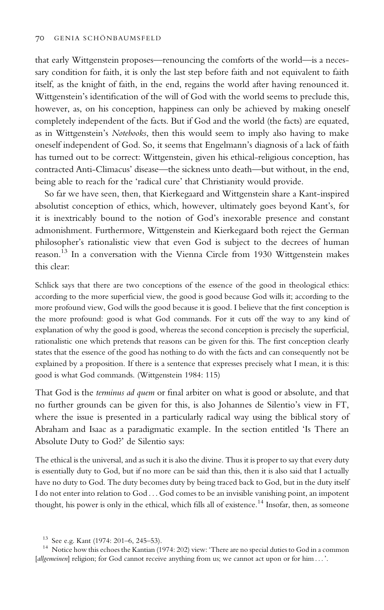that early Wittgenstein proposes—renouncing the comforts of the world—is a necessary condition for faith, it is only the last step before faith and not equivalent to faith itself, as the knight of faith, in the end, regains the world after having renounced it. Wittgenstein's identification of the will of God with the world seems to preclude this, however, as, on his conception, happiness can only be achieved by making oneself completely independent of the facts. But if God and the world (the facts) are equated, as in Wittgenstein's Notebooks, then this would seem to imply also having to make oneself independent of God. So, it seems that Engelmann's diagnosis of a lack of faith has turned out to be correct: Wittgenstein, given his ethical-religious conception, has contracted Anti-Climacus' disease—the sickness unto death—but without, in the end, being able to reach for the 'radical cure' that Christianity would provide.

So far we have seen, then, that Kierkegaard and Wittgenstein share a Kant-inspired absolutist conception of ethics, which, however, ultimately goes beyond Kant's, for it is inextricably bound to the notion of God's inexorable presence and constant admonishment. Furthermore, Wittgenstein and Kierkegaard both reject the German philosopher's rationalistic view that even God is subject to the decrees of human reason.13 In a conversation with the Vienna Circle from 1930 Wittgenstein makes this clear:

Schlick says that there are two conceptions of the essence of the good in theological ethics: according to the more superficial view, the good is good because God wills it; according to the more profound view, God wills the good because it is good. I believe that the first conception is the more profound: good is what God commands. For it cuts off the way to any kind of explanation of why the good is good, whereas the second conception is precisely the superficial, rationalistic one which pretends that reasons can be given for this. The first conception clearly states that the essence of the good has nothing to do with the facts and can consequently not be explained by a proposition. If there is a sentence that expresses precisely what I mean, it is this: good is what God commands. (Wittgenstein 1984: 115)

That God is the terminus ad quem or final arbiter on what is good or absolute, and that no further grounds can be given for this, is also Johannes de Silentio's view in FT, where the issue is presented in a particularly radical way using the biblical story of Abraham and Isaac as a paradigmatic example. In the section entitled 'Is There an Absolute Duty to God?' de Silentio says:

The ethical is the universal, and as such it is also the divine. Thus it is proper to say that every duty is essentially duty to God, but if no more can be said than this, then it is also said that I actually have no duty to God. The duty becomes duty by being traced back to God, but in the duty itself I do not enter into relation to God . . . God comes to be an invisible vanishing point, an impotent thought, his power is only in the ethical, which fills all of existence.<sup>14</sup> Insofar, then, as someone

<sup>&</sup>lt;sup>13</sup> See e.g. Kant (1974: 201–6, 245–53).<br><sup>14</sup> Notice how this echoes the Kantian (1974: 202) view: 'There are no special duties to God in a common [allgemeinen] religion; for God cannot receive anything from us; we cannot act upon or for him ...'.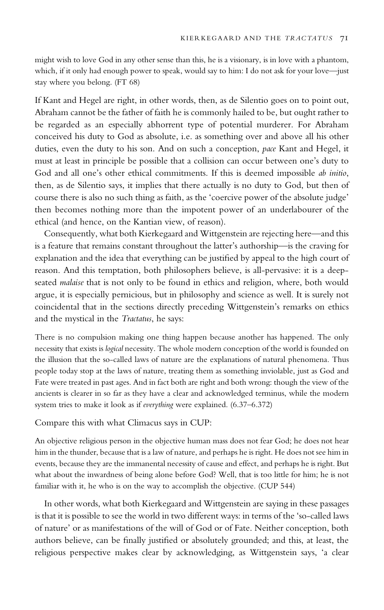might wish to love God in any other sense than this, he is a visionary, is in love with a phantom, which, if it only had enough power to speak, would say to him: I do not ask for your love—just stay where you belong. (FT 68)

If Kant and Hegel are right, in other words, then, as de Silentio goes on to point out, Abraham cannot be the father of faith he is commonly hailed to be, but ought rather to be regarded as an especially abhorrent type of potential murderer. For Abraham conceived his duty to God as absolute, i.e. as something over and above all his other duties, even the duty to his son. And on such a conception, pace Kant and Hegel, it must at least in principle be possible that a collision can occur between one's duty to God and all one's other ethical commitments. If this is deemed impossible *ab initio*, then, as de Silentio says, it implies that there actually is no duty to God, but then of course there is also no such thing as faith, as the 'coercive power of the absolute judge' then becomes nothing more than the impotent power of an underlabourer of the ethical (and hence, on the Kantian view, of reason).

Consequently, what both Kierkegaard and Wittgenstein are rejecting here—and this is a feature that remains constant throughout the latter's authorship—is the craving for explanation and the idea that everything can be justified by appeal to the high court of reason. And this temptation, both philosophers believe, is all-pervasive: it is a deepseated malaise that is not only to be found in ethics and religion, where, both would argue, it is especially pernicious, but in philosophy and science as well. It is surely not coincidental that in the sections directly preceding Wittgenstein's remarks on ethics and the mystical in the Tractatus, he says:

There is no compulsion making one thing happen because another has happened. The only necessity that exists is logical necessity. The whole modern conception of the world is founded on the illusion that the so-called laws of nature are the explanations of natural phenomena. Thus people today stop at the laws of nature, treating them as something inviolable, just as God and Fate were treated in past ages. And in fact both are right and both wrong: though the view of the ancients is clearer in so far as they have a clear and acknowledged terminus, while the modern system tries to make it look as if everything were explained. (6.37–6.372)

#### Compare this with what Climacus says in CUP:

An objective religious person in the objective human mass does not fear God; he does not hear him in the thunder, because that is a law of nature, and perhaps he is right. He does not see him in events, because they are the immanental necessity of cause and effect, and perhaps he is right. But what about the inwardness of being alone before God? Well, that is too little for him; he is not familiar with it, he who is on the way to accomplish the objective. (CUP 544)

In other words, what both Kierkegaard and Wittgenstein are saying in these passages is that it is possible to see the world in two different ways: in terms of the 'so-called laws of nature' or as manifestations of the will of God or of Fate. Neither conception, both authors believe, can be finally justified or absolutely grounded; and this, at least, the religious perspective makes clear by acknowledging, as Wittgenstein says, 'a clear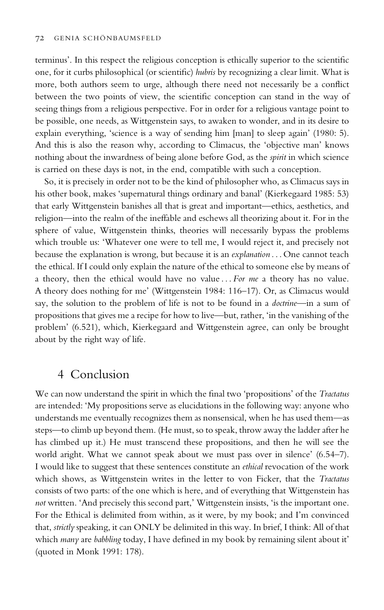terminus'. In this respect the religious conception is ethically superior to the scientific one, for it curbs philosophical (or scientific) hubris by recognizing a clear limit. What is more, both authors seem to urge, although there need not necessarily be a conflict between the two points of view, the scientific conception can stand in the way of seeing things from a religious perspective. For in order for a religious vantage point to be possible, one needs, as Wittgenstein says, to awaken to wonder, and in its desire to explain everything, 'science is a way of sending him [man] to sleep again' (1980: 5). And this is also the reason why, according to Climacus, the 'objective man' knows nothing about the inwardness of being alone before God, as the spirit in which science is carried on these days is not, in the end, compatible with such a conception.

So, it is precisely in order not to be the kind of philosopher who, as Climacus says in his other book, makes 'supernatural things ordinary and banal' (Kierkegaard 1985: 53) that early Wittgenstein banishes all that is great and important—ethics, aesthetics, and religion—into the realm of the ineffable and eschews all theorizing about it. For in the sphere of value, Wittgenstein thinks, theories will necessarily bypass the problems which trouble us: 'Whatever one were to tell me, I would reject it, and precisely not because the explanation is wrong, but because it is an explanation . . . One cannot teach the ethical. If I could only explain the nature of the ethical to someone else by means of a theory, then the ethical would have no value... For me a theory has no value. A theory does nothing for me' (Wittgenstein 1984: 116–17). Or, as Climacus would say, the solution to the problem of life is not to be found in a *doctrine*—in a sum of propositions that gives me a recipe for how to live—but, rather, 'in the vanishing of the problem' (6.521), which, Kierkegaard and Wittgenstein agree, can only be brought about by the right way of life.

#### 4 Conclusion

We can now understand the spirit in which the final two 'propositions' of the Tractatus are intended: 'My propositions serve as elucidations in the following way: anyone who understands me eventually recognizes them as nonsensical, when he has used them—as steps—to climb up beyond them. (He must, so to speak, throw away the ladder after he has climbed up it.) He must transcend these propositions, and then he will see the world aright. What we cannot speak about we must pass over in silence' (6.54–7). I would like to suggest that these sentences constitute an ethical revocation of the work which shows, as Wittgenstein writes in the letter to von Ficker, that the Tractatus consists of two parts: of the one which is here, and of everything that Wittgenstein has not written. 'And precisely this second part,' Wittgenstein insists, 'is the important one. For the Ethical is delimited from within, as it were, by my book; and I'm convinced that, strictly speaking, it can ONLY be delimited in this way. In brief, I think: All of that which many are babbling today, I have defined in my book by remaining silent about it' (quoted in Monk 1991: 178).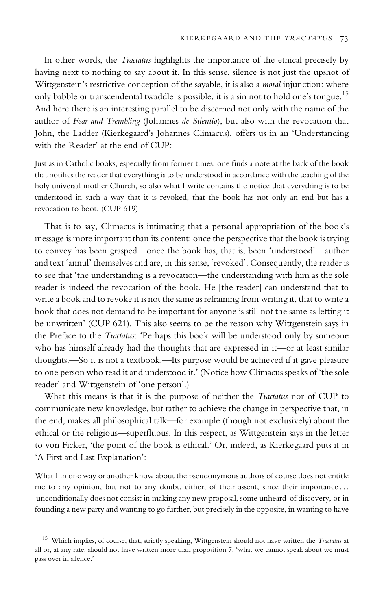In other words, the Tractatus highlights the importance of the ethical precisely by having next to nothing to say about it. In this sense, silence is not just the upshot of Wittgenstein's restrictive conception of the sayable, it is also a moral injunction: where only babble or transcendental twaddle is possible, it is a sin not to hold one's tongue.<sup>15</sup> And here there is an interesting parallel to be discerned not only with the name of the author of Fear and Trembling (Johannes de Silentio), but also with the revocation that John, the Ladder (Kierkegaard's Johannes Climacus), offers us in an 'Understanding with the Reader' at the end of CUP:

Just as in Catholic books, especially from former times, one finds a note at the back of the book that notifies the reader that everything is to be understood in accordance with the teaching of the holy universal mother Church, so also what I write contains the notice that everything is to be understood in such a way that it is revoked, that the book has not only an end but has a revocation to boot. (CUP 619)

That is to say, Climacus is intimating that a personal appropriation of the book's message is more important than its content: once the perspective that the book is trying to convey has been grasped—once the book has, that is, been 'understood'—author and text 'annul' themselves and are, in this sense, 'revoked'. Consequently, the reader is to see that 'the understanding is a revocation—the understanding with him as the sole reader is indeed the revocation of the book. He [the reader] can understand that to write a book and to revoke it is not the same as refraining from writing it, that to write a book that does not demand to be important for anyone is still not the same as letting it be unwritten' (CUP 621). This also seems to be the reason why Wittgenstein says in the Preface to the Tractatus: 'Perhaps this book will be understood only by someone who has himself already had the thoughts that are expressed in it—or at least similar thoughts.—So it is not a textbook.—Its purpose would be achieved if it gave pleasure to one person who read it and understood it.' (Notice how Climacus speaks of 'the sole reader' and Wittgenstein of 'one person'.)

What this means is that it is the purpose of neither the Tractatus nor of CUP to communicate new knowledge, but rather to achieve the change in perspective that, in the end, makes all philosophical talk—for example (though not exclusively) about the ethical or the religious—superfluous. In this respect, as Wittgenstein says in the letter to von Ficker, 'the point of the book is ethical.' Or, indeed, as Kierkegaard puts it in 'A First and Last Explanation':

What I in one way or another know about the pseudonymous authors of course does not entitle me to any opinion, but not to any doubt, either, of their assent, since their importance . . . unconditionally does not consist in making any new proposal, some unheard-of discovery, or in founding a new party and wanting to go further, but precisely in the opposite, in wanting to have

<sup>&</sup>lt;sup>15</sup> Which implies, of course, that, strictly speaking, Wittgenstein should not have written the Tractatus at all or, at any rate, should not have written more than proposition 7: 'what we cannot speak about we must pass over in silence.'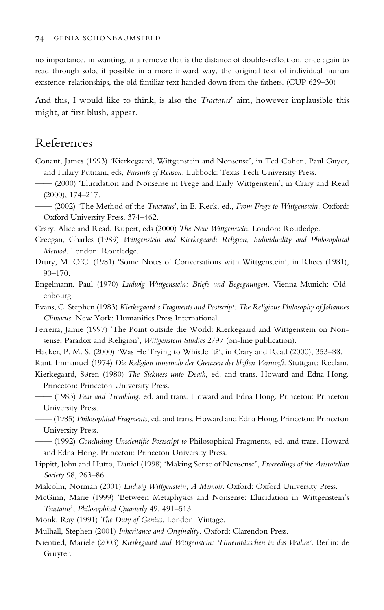no importance, in wanting, at a remove that is the distance of double-reflection, once again to read through solo, if possible in a more inward way, the original text of individual human existence-relationships, the old familiar text handed down from the fathers. (CUP 629–30)

And this, I would like to think, is also the Tractatus' aim, however implausible this might, at first blush, appear.

### References

- Conant, James (1993) 'Kierkegaard, Wittgenstein and Nonsense', in Ted Cohen, Paul Guyer, and Hilary Putnam, eds, Pursuits of Reason. Lubbock: Texas Tech University Press.
- —— (2000) 'Elucidation and Nonsense in Frege and Early Wittgenstein', in Crary and Read (2000), 174–217.

- (2002) 'The Method of the Tractatus', in E. Reck, ed., From Frege to Wittgenstein. Oxford: Oxford University Press, 374–462.

- Crary, Alice and Read, Rupert, eds (2000) The New Wittgenstein. London: Routledge.
- Creegan, Charles (1989) Wittgenstein and Kierkegaard: Religion, Individuality and Philosophical Method. London: Routledge.
- Drury, M. O'C. (1981) 'Some Notes of Conversations with Wittgenstein', in Rhees (1981), 90–170.
- Engelmann, Paul (1970) Ludwig Wittgenstein: Briefe und Begegnungen. Vienna-Munich: Oldenbourg.

Evans, C. Stephen (1983) Kierkegaard's Fragments and Postscript: The Religious Philosophy of Johannes Climacus. New York: Humanities Press International.

- Ferreira, Jamie (1997) 'The Point outside the World: Kierkegaard and Wittgenstein on Nonsense, Paradox and Religion', Wittgenstein Studies 2/97 (on-line publication).
- Hacker, P. M. S. (2000) 'Was He Trying to Whistle It?', in Crary and Read (2000), 353–88.

Kant, Immanuel (1974) Die Religion innerhalb der Grenzen der bloßen Vernunft. Stuttgart: Reclam.

Kierkegaard, Søren (1980) The Sickness unto Death, ed. and trans. Howard and Edna Hong. Princeton: Princeton University Press.

- —— (1983) Fear and Trembling, ed. and trans. Howard and Edna Hong. Princeton: Princeton University Press.
- —— (1985) Philosophical Fragments, ed. and trans. Howard and Edna Hong. Princeton: Princeton University Press.
- —— (1992) Concluding Unscientific Postscript to Philosophical Fragments, ed. and trans. Howard and Edna Hong. Princeton: Princeton University Press.

Lippitt, John and Hutto, Daniel (1998) 'Making Sense of Nonsense', Proceedings of the Aristotelian Society 98, 263–86.

- Malcolm, Norman (2001) Ludwig Wittgenstein, A Memoir. Oxford: Oxford University Press.
- McGinn, Marie (1999) 'Between Metaphysics and Nonsense: Elucidation in Wittgenstein's Tractatus', Philosophical Quarterly 49, 491–513.
- Monk, Ray (1991) The Duty of Genius. London: Vintage.
- Mulhall, Stephen (2001) Inheritance and Originality. Oxford: Clarendon Press.
- Nientied, Mariele (2003) Kierkegaard und Wittgenstein: 'Hineintäuschen in das Wahre'. Berlin: de Gruyter.